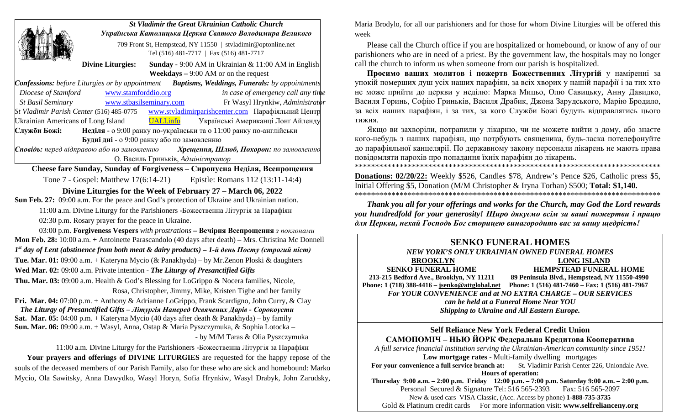|                                                                                                             | <b>St Vladimir the Great Ukrainian Catholic Church</b><br>Українська Католицька Церква Святого Володимира Великого |  |                                                               |
|-------------------------------------------------------------------------------------------------------------|--------------------------------------------------------------------------------------------------------------------|--|---------------------------------------------------------------|
|                                                                                                             |                                                                                                                    |  |                                                               |
|                                                                                                             | 709 Front St, Hempstead, NY 11550   stvladimir@optonline.net                                                       |  |                                                               |
|                                                                                                             | Tel (516) 481-7717   Fax (516) 481-7717                                                                            |  |                                                               |
|                                                                                                             | <b>Divine Liturgies:</b>                                                                                           |  | <b>Sunday - 9:00 AM</b> in Ukrainian $\&$ 11:00 AM in English |
|                                                                                                             | <b>Weekdays</b> $-9:00$ AM or on the request                                                                       |  |                                                               |
| <b>Confessions:</b> before Liturgies or by appointment <b>Baptisms, Weddings, Funerals:</b> by appointments |                                                                                                                    |  |                                                               |
| Diocese of Stamford www.stamforddio.org                                                                     |                                                                                                                    |  | in case of emergency call any time                            |
| St Basil Seminary WWW.stbasilseminary.com                                                                   |                                                                                                                    |  | Fr Wasyl Hrynkiw, Administrator                               |
| St Vladimir Parish Center (516) 485-0775<br>www.stvladimirparishcenter.com Парафіяльний Центр               |                                                                                                                    |  |                                                               |
| <b>UALI.info</b><br>Ukrainian Americans of Long Island<br>Українські Американці Лонг Айленду                |                                                                                                                    |  |                                                               |
| Неділя - о 9:00 ранку по-українськи та о 11:00 ранку по-англійськи<br>Служби Божі:                          |                                                                                                                    |  |                                                               |
| Будні дні - о 9:00 ранку або по замовленню                                                                  |                                                                                                                    |  |                                                               |
| Сповідь: перед відправою або по замовленню Хрещення, Шлюб, Похорон: по замовленню                           |                                                                                                                    |  |                                                               |
| О. Василь Гриньків, Адміністратор                                                                           |                                                                                                                    |  |                                                               |
| <b>Cheese fare Sunday, Sunday of Forgiveness – Сиропусна Неділя, Всепрощення</b>                            |                                                                                                                    |  |                                                               |
| Tone 7 - Gospel: Matthew 17(6:14-21) Epistle: Romans 112 (13:11-14:4)                                       |                                                                                                                    |  |                                                               |
| Divine Liturgies for the Week of February 27 – March 06, 2022                                               |                                                                                                                    |  |                                                               |
| <b>Sun Feb. 27:</b> 09:00 a.m. For the peace and God's protection of Ukraine and Ukrainian nation.          |                                                                                                                    |  |                                                               |

11:00 a.m. Divine Liturgy for the Parishioners -Божественна Літургія за Парафiян 02:30 p.m. Rosary prayer for the peace in Ukraine.

03:00 p.m. **Forgiveness Vespers** *with prostrations* **– Вечірня Всепрощення** *з поклонами* **Mon Feb. 28:** 10:00 a.m. + Antoinette Parascandolo (40 days after death) – Mrs. Christina Mc Donnell *1st day of Lent (abstinence from both meat & dairy products) – 1-й день Посту (строгий піст)*  **Tue. Mar. 01:** 09:00 a.m. + Kateryna Mycio (& Panakhyda) – by Mr.Zenon Ploski & daughters **Wed Mar. 02:** 09:00 a.m. Private intention - *The Liturgy of Рresanctified Gifts*

**Thu. Mar. 03:** 09:00 a.m. Health & God's Blessing for LoGrippo & Nocera families, Nicole, Rosa, Christopher, Jimmy, Mike, Kristen Tighe and her family

**Fri. Mar. 04:** 07:00 p.m. + Anthony & Adrianne LoGrippo, Frank Scardigno, John Curry, & Clay *The Liturgy of Рresanctified Gifts – Літургія Наперед Освячених Дарів - Сорокоусти* **Sat. Mar. 05:** 04:00 p.m. + Kateryna Mycio (40 days after death & Panakhyda) – by family **Sun. Mar. 06:** 09:00 a.m. + Wasyl, Anna, Ostap & Maria Pyszczymuka, & Sophia Lotocka –

- by M/M Taras & Olia Pyszczymuka

11:00 a.m. Divine Liturgy for the Parishioners -Божественна Літургія за Парафiян

**Your prayers and offerings of DIVINE LITURGIES** are requested for the happy repose of the souls of the deceased members of our Parish Family, also for these who are sick and homebound: Marko Mycio, Ola Sawitsky, Anna Dawydko, Wasyl Horyn, Sofia Hrynkiw, Wasyl Drabyk, John Zarudsky,

Maria Brodylo, for all our parishioners and for those for whom Divine Liturgies will be offered this week

Please call the Church office if you are hospitalized or homebound, or know of any of our parishioners who are in need of a priest. By the government law, the hospitals may no longer call the church to inform us when someone from our parish is hospitalized.

**Просимо вашиx молитов і пожертв Божественних Літургій** у наміренні за упокiй помершиx душ усix нашиx парафiян, за всix xвориx у нашiй парафiї i за тиx xто не може прийти до церкви у недiлю: Марка Мицьо, Олю Савицьку, Анну Давидко, Василя Горинь, Софію Гриньків, Василя Драбик, Джона Зарудського, Марію Бродило, за всix нашиx парафiян, i за тиx, за кого Служби Божi будуть вiдправлятись цього тижня.

Якщо ви заxворiли, потрапили у лiкарню, чи не можете вийти з дому, або знаєте кого-небудь з нашиx парафiян, що потрбують священика, будь-ласка потелефонуйте до парафiяльної канцелярiї. По державному закону персонали лiкарень не мають права повiдомляти пароxiв про попадання їxнix парафiян до лiкарень.

\*\*\*\*\*\*\*\*\*\*\*\*\*\*\*\*\*\*\*\*\*\*\*\*\*\*\*\*\*\*\*\*\*\*\*\*\*\*\*\*\*\*\*\*\*\*\*\*\*\*\*\*\*\*\*\*\*\*\*\*\*\*\*\*\*\*\*\*\*\*\*\*\*\*\*

**Donations: 02/20/22:** Weekly \$526, Candles \$78, Andrew's Pence \$26, Catholic press \$5, Initial Offering \$5, Donation (M/M Christopher & Iryna Torhan) \$500; **Total: \$1,140.** \*\*\*\*\*\*\*\*\*\*\*\*\*\*\*\*\*\*\*\*\*\*\*\*\*\*\*\*\*\*\*\*\*\*\*\*\*\*\*\*\*\*\*\*\*\*\*\*\*\*\*\*\*\*\*\*\*\*\*\*\*\*\*\*\*\*\*\*\*\*\*\*\*\*\*

*Thank you all for your offerings and works for the Church, may God the Lord rewards you hundredfold for your generosity! Щирo дякуємо всім за ваші пожертви і працю для Церкви, нехай Господь Бог сторицею винагородить вас за вашу щедрість!* 

# **SENKO FUNERAL HOMES**

## *NEW YORK'S ONLY UKRAINIAN OWNED FUNERAL HOMES*

**BROOKLYN LONG ISLAND** 

**SENKO FUNERAL HOME HEMPSTEAD FUNERAL HOME** 

 **213-215 Bedford Ave., Brooklyn, NY 11211 89 Peninsula Blvd., Hempstead, NY 11550-4990 Phone: 1 (718) 388-4416 – [jsenko@attglobal.net](mailto:jsenko@attglobal.net) Phone: 1 (516) 481-7460 – Fax: 1 (516) 481-7967** *For YOUR CONVENIENCE and at NO EXTRA CHARGE – OUR SERVICES can be held at a Funeral Home Near YOU Shipping to Ukraine and All Eastern Europe.*

**Self Reliance New York Federal Credit Union САМОПОМІЧ – НЬЮ ЙОРК Федеральна Кредитова Кооператива**

*A full service financial institution serving the Ukrainian-American community since 1951!* 

**Low mortgage rates -** Multi-family dwelling mortgages ence a full service branch at: St. Vladimir Parish Center 226, Uniondale Ave.

For your convenience a full service branch at: **Hours of operation:**

**Thursday 9:00 a.m. – 2:00 p.m. Friday 12:00 p.m. – 7:00 p.m. Saturday 9:00 a.m. – 2:00 p.m.** Personal Secured & Signature Tel: 516 565-2393 Fax: 516 565-2097

New & used cars VISA Classic, (Acc. Access by phone) **1-888-735-3735**

Gold & Platinum credit cards For more information visit: **www.selfrelianceny.org**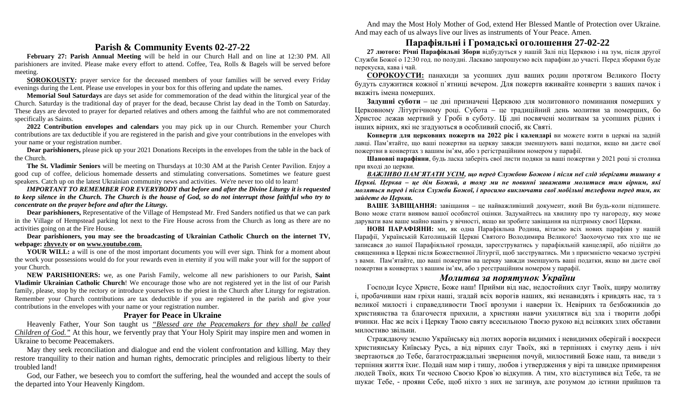And may the Most Holy Mother of God, extend Her Blessed Mantle of Protection over Ukraine. And may each of us always live our lives as instruments of Your Peace. Amen.

### **Parish & Community Events 02-27-22**

**February 27: Parish Annual Meeting** will be held in our Church Hall and on line at 12:30 PM. All parishioners are invited. Please make every effort to attend. Coffee, Tea, Rolls & Bagels will be served before meeting.

**SOROKOUSTY:** prayer service for the deceased members of your families will be served every Friday evenings during the Lent. Please use envelopes in your box for this offering and update the names.

**Memorial Soul Saturdays** are days set aside for commemoration of the dead within the liturgical year of the Church. Saturday is the traditional day of prayer for the dead, because Christ lay dead in the Tomb on Saturday. These days are devoted to prayer for departed relatives and others among the faithful who are not commemorated specifically as Saints.

**2022 Contribution envelopes and calendars** you may pick up in our Church. Remember your Church contributions are tax deductible if you are registered in the parish and give your contributions in the envelopes with your name or your registration number.

**Dear parishioners,** please pick up your 2021 Donations Receipts in the envelopes from the table in the back of the Church.

**The St. Vladimir Seniors** will be meeting on Thursdays at 10:30 AM at the Parish Center Pavilion. Enjoy a good cup of coffee, delicious homemade desserts and stimulating conversations. Sometimes we feature guest speakers. Catch up on the latest Ukrainian community news and activities. We're never too old to learn!

*IMPORTANT TO REMEMBER FOR EVERYBODY that before and after the Divine Liturgy it is requested to keep silence in the Church. The Church is the house of God, so do not interrupt those faithful who try to concentrate on the prayer before and after the Liturgy.* 

**Dear parishioners,** Representative of the Village of Hempstead Mr. Fred Sanders notified us that we can park in the Village of Hempstead parking lot next to the Fire House across from the Church as long as there are no activities going on at the Fire House.

**Dear parishioners, you may see the broadcasting of Ukrainian Catholic Church on the internet TV, webpage: [zhyve.tv](http://www.ugcc.org.ua/) or o[n www.youtube.com.](http://www.youtube.com/)**

**YOUR WILL:** a will is one of the most important documents you will ever sign. Think for a moment about the work your possessions would do for your rewards even in eternity if you will make your will for the support of your Church.

**NEW PARISHIONERS:** we, as one Parish Family, welcome all new parishioners to our Parish, **Saint Vladimir Ukrainian Catholic Church**! We encourage those who are not registered yet in the list of our Parish family, please, stop by the rectory or introduce yourselves to the priest in the Church after Liturgy for registration. Remember your Church contributions are tax deductible if you are registered in the parish and give your contributions in the envelopes with your name or your registration number.

#### **Prayer for Peace in Ukraine**

Heavenly Father, Your Son taught us *"Blessed are the Peacemakers for they shall be called Children of God."* At this hour, we fervently pray that Your Holy Spirit may inspire men and women in Ukraine to become Peacemakers.

May they seek reconciliation and dialogue and end the violent confrontation and killing. May they restore tranquility to their nation and human rights, democratic principles and religious liberty to their troubled land!

God, our Father, we beseech you to comfort the suffering, heal the wounded and accept the souls of the departed into Your Heavenly Kingdom.

### **Парафіяльні і Громадські оголошення 27-02-22**

**27 лютого: Річні Парафіяльні Збори** відбудуться у нашій Залі під Церквою і на зум, після другої Служби Божої о 12:30 год. по полудні. Ласкаво запрошуємо всіх парафіян до участі. Перед зборами буде перекуска, кава і чай.

**СОРОКОУСТИ:** панахиди за усопших душ ваших родин протягом Великого Посту будуть служитися кожної п`ятниці вечером. Для пожертв вживайте конверти з ваших пачок і вкажіть імена померших.

**Задушні суботи** – це дні призначені Церквою для молитовного поминання померших у Церковному Літургічному році. Субота – це традиційний день молитви за померших, бо Христос лежав мертвий у Гробі в суботу. Ці дні посвячені молитвам за усопших рідних і інших вірних, які не згадуються в особливий спосіб, як Святі.

**Конверти для церковниx пожертв на 2022 рiк і календарі** ви можете взяти в церкві на задній лавці. Пам'ятайте, що вашi пожертви на церкву завжди зменшують вашi податки, якщо ви даєте свої пожертви в конвертаx з вашим iм'ям, або з регiстрацiйним номером у парафiї.

**Шановні парафіяни**, будь ласка заберіть свої листи подяки за ваші пожертви у 2021 році зі столика при вході до церкви.

*ВАЖЛИВО ПАМ`ЯТАТИ УСІМ, що перед Службою Божою і після неї слід зберігати тишину в Церкві. Церква – це дім Божий, а тому ми не повинні заважати молитися тим вірним, які моляться перед і після Служби Божої, і просимо виключати свої мобільні телефони перед тим, як зайдете до Церкви.*

**ВАШЕ ЗАВІЩАННЯ:** завіщання – це найважливіший документ, який Ви будь-коли підпишете. Воно може стати виявом вашої особистої оцінки. Задумайтесь на хвилину про ту нагороду, яку може дарувати вам ваше майно навіть у вічності, якщо ви зробите завіщання на підтримку своєї Церкви.

**НОВІ ПАРАФІЯНИ:** ми, як одна Парафіяльна Родина, вітаємо всіх нових парафіян у нашій Парафії, Українській Католицькій Церкві Святого Володимира Великого! Заохочуємо тих хто ще не записався до нашої Парафіяльної громади, зареєструватись у парафіяльній канцелярії, або підійти до священника в Церкві після Божественної Літургії, щоб заєструватись. Ми з приємністю чекаємо зустрічі з вами. Пам'ятайте, що вашi пожертви на церкву завжди зменшують вашi податки, якщо ви даєте свої пожертви в конвертаx з вашим iм'ям, або з реєстрацiйним номером у парафiї.

### *Молитва за порятунок України*

Господи Ісусе Христе, Боже наш! Прийми від нас, недостойних слуг Твоїх, щиру молитву і, пробачивши нам гріхи наші, згадай всіх ворогів наших, які ненавидять і кривдять нас, та з великої милості і справедливости Твоєї врозуми і наверни їх. Невірних та безбожників до християнства та благочестя прихили, а християн навчи ухилятися від зла і творити добрі вчинки. Нас же всіх і Церкву Твою святу всесильною Твоєю рукою від всіляких злих обставин милостиво звільни.

Страждаючу землю Українську від лютих ворогів видимих і невидимих оберігай і воскреси християнську Київську Русь, а від вірних слуг Твоїх, які в терпіннях і смутку день і ніч звертаються до Тебе, багатостраждальні звернення почуй, милостивий Боже наш, та виведи з терпіння життя їхнє. Подай нам мир і тишу, любов і утвердження у вірі та швидке примирення людей Твоїх, яких Ти чесною Своєю Кров`ю відкупив. А тим, хто відступився від Тебе, та не шукає Тебе, - прояви Себе, щоб ніхто з них не загинув, але розумом до істини прийшов та